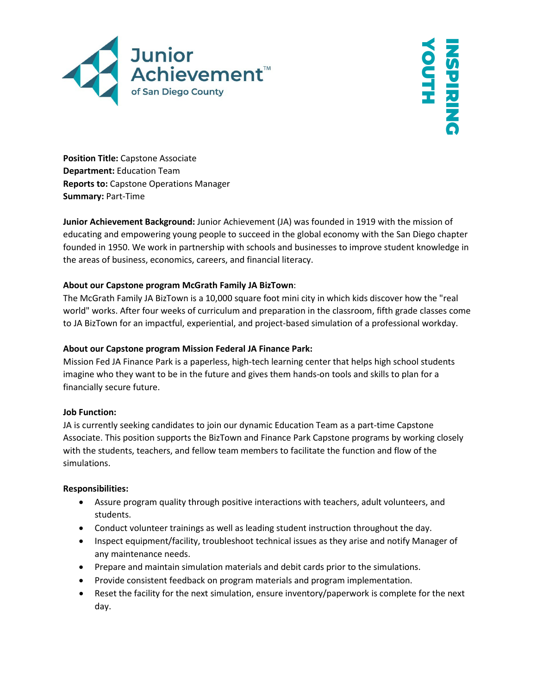

YOUTH **NSPIRING ASPIRIN** 

**Position Title:** Capstone Associate **Department:** Education Team **Reports to:** Capstone Operations Manager **Summary:** Part-Time

**Junior Achievement Background:** Junior Achievement (JA) was founded in 1919 with the mission of educating and empowering young people to succeed in the global economy with the San Diego chapter founded in 1950. We work in partnership with schools and businesses to improve student knowledge in the areas of business, economics, careers, and financial literacy.

## **About our Capstone program McGrath Family JA BizTown**:

The McGrath Family JA BizTown is a 10,000 square foot mini city in which kids discover how the "real world" works. After four weeks of curriculum and preparation in the classroom, fifth grade classes come to JA BizTown for an impactful, experiential, and project-based simulation of a professional workday.

### **About our Capstone program Mission Federal JA Finance Park:**

Mission Fed JA Finance Park is a paperless, high-tech learning center that helps high school students imagine who they want to be in the future and gives them hands-on tools and skills to plan for a financially secure future.

#### **Job Function:**

JA is currently seeking candidates to join our dynamic Education Team as a part-time Capstone Associate. This position supports the BizTown and Finance Park Capstone programs by working closely with the students, teachers, and fellow team members to facilitate the function and flow of the simulations.

#### **Responsibilities:**

- Assure program quality through positive interactions with teachers, adult volunteers, and students.
- Conduct volunteer trainings as well as leading student instruction throughout the day.
- Inspect equipment/facility, troubleshoot technical issues as they arise and notify Manager of any maintenance needs.
- Prepare and maintain simulation materials and debit cards prior to the simulations.
- Provide consistent feedback on program materials and program implementation.
- Reset the facility for the next simulation, ensure inventory/paperwork is complete for the next day.